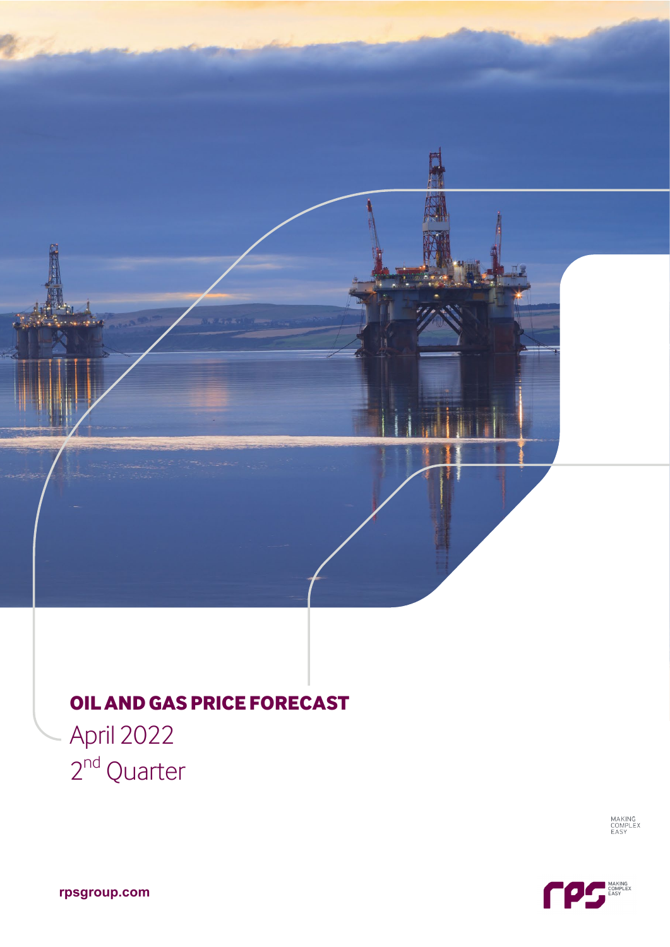# **OILANDGAS PRICEFORECAST**

April 2022 2<sup>nd</sup> Quarter

MAKING<br>COMPLEX<br>EASY



**rpsgroup.com**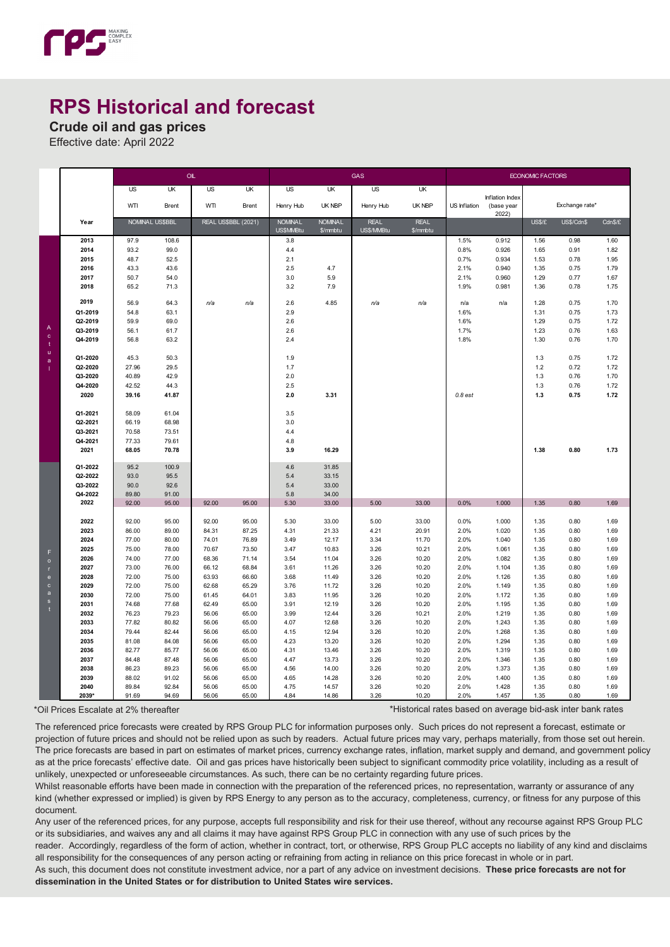

# **RPS Historical and forecast**

**Crude oil and gas prices**

Effective date: April 2022

|                                |                    | OIL             |                |                     |                | <b>GAS</b>                  |                            |                           |                         | <b>ECONOMIC FACTORS</b> |                               |              |                |              |
|--------------------------------|--------------------|-----------------|----------------|---------------------|----------------|-----------------------------|----------------------------|---------------------------|-------------------------|-------------------------|-------------------------------|--------------|----------------|--------------|
|                                |                    | US <sub></sub>  | UK             | US                  | UK             | US                          | UK                         | US                        | UK                      |                         |                               |              |                |              |
|                                |                    | WTI             | <b>Brent</b>   | WTI                 | <b>Brent</b>   | Henry Hub                   | UK NBP                     | Henry Hub                 | <b>UK NBP</b>           | US Inflation            | Inflation Index<br>(base year |              | Exchange rate* |              |
|                                |                    |                 |                |                     |                |                             |                            |                           |                         |                         | 2022)                         |              |                |              |
|                                | Year               | NOMINAL US\$BBL |                | REAL US\$BBL (2021) |                | <b>NOMINAL</b><br>US\$MMBtu | <b>NOMINAL</b><br>\$/mmbtu | <b>REAL</b><br>US\$/MMBtu | <b>REAL</b><br>\$/mmbtu |                         |                               | <b>USS/F</b> | US\$/Cdn\$     | CdnS/E       |
|                                | 2013               | 97.9            | 108.6          |                     |                | 3.8                         |                            |                           |                         | 1.5%                    | 0.912                         | 1.56         | 0.98           | 1.60         |
|                                | 2014               | 93.2            | 99.0           |                     |                | 4.4                         |                            |                           |                         | 0.8%                    | 0.926                         | 1.65         | 0.91           | 1.82         |
|                                | 2015               | 48.7            | 52.5           |                     |                | 2.1                         |                            |                           |                         | 0.7%                    | 0.934                         | 1.53         | 0.78           | 1.95         |
|                                | 2016               | 43.3            | 43.6           |                     |                | 2.5                         | 4.7                        |                           |                         | 2.1%                    | 0.940                         | 1.35         | 0.75           | 1.79         |
|                                | 2017               | 50.7            | 54.0           |                     |                | 3.0                         | 5.9                        |                           |                         | 2.1%                    | 0.960                         | 1.29         | 0.77           | 1.67         |
|                                | 2018               | 65.2            | 71.3           |                     |                | 3.2                         | 7.9                        |                           |                         | 1.9%                    | 0.981                         | 1.36         | 0.78           | 1.75         |
|                                | 2019               | 56.9            | 64.3           | n/a                 | n/a            | 2.6                         | 4.85                       | n/a                       | n/a                     | n/a                     | n/a                           | 1.28         | 0.75           | 1.70         |
|                                | Q1-2019            | 54.8            | 63.1           |                     |                | 2.9                         |                            |                           |                         | 1.6%                    |                               | 1.31         | 0.75           | 1.73         |
|                                | Q2-2019            | 59.9            | 69.0           |                     |                | 2.6                         |                            |                           |                         | 1.6%                    |                               | 1.29         | 0.75           | 1.72         |
| $\overline{A}$<br>$\mathbf{c}$ | Q3-2019            | 56.1            | 61.7           |                     |                | 2.6                         |                            |                           |                         | 1.7%                    |                               | 1.23         | 0.76           | 1.63         |
| -t                             | Q4-2019            | 56.8            | 63.2           |                     |                | 2.4                         |                            |                           |                         | 1.8%                    |                               | 1.30         | 0.76           | 1.70         |
| $\mathsf{u}$                   | Q1-2020            | 45.3            | 50.3           |                     |                | 1.9                         |                            |                           |                         |                         |                               | 1.3          | 0.75           | 1.72         |
| $\mathbf a$                    | Q2-2020            | 27.96           | 29.5           |                     |                | 1.7                         |                            |                           |                         |                         |                               | $1.2$        | 0.72           | 1.72         |
|                                | Q3-2020            | 40.89           | 42.9           |                     |                | 2.0                         |                            |                           |                         |                         |                               | 1.3          | 0.76           | 1.70         |
|                                | Q4-2020            | 42.52           | 44.3           |                     |                | 2.5                         |                            |                           |                         |                         |                               | 1.3          | 0.76           | 1.72         |
|                                | 2020               | 39.16           | 41.87          |                     |                | 2.0                         | 3.31                       |                           |                         | $0.8$ est               |                               | 1.3          | 0.75           | 1.72         |
|                                |                    |                 |                |                     |                |                             |                            |                           |                         |                         |                               |              |                |              |
|                                | Q1-2021<br>Q2-2021 | 58.09<br>66.19  | 61.04<br>68.98 |                     |                | 3.5<br>3.0                  |                            |                           |                         |                         |                               |              |                |              |
|                                | Q3-2021            | 70.58           | 73.51          |                     |                | 4.4                         |                            |                           |                         |                         |                               |              |                |              |
|                                | Q4-2021            | 77.33           | 79.61          |                     |                | 4.8                         |                            |                           |                         |                         |                               |              |                |              |
|                                | 2021               | 68.05           | 70.78          |                     |                | 3.9                         | 16.29                      |                           |                         |                         |                               | 1.38         | 0.80           | 1.73         |
|                                |                    |                 |                |                     |                |                             |                            |                           |                         |                         |                               |              |                |              |
|                                | Q1-2022<br>Q2-2022 | 95.2<br>93.0    | 100.9<br>95.5  |                     |                | 4.6<br>5.4                  | 31.85<br>33.15             |                           |                         |                         |                               |              |                |              |
|                                | Q3-2022            | 90.0            | 92.6           |                     |                | 5.4                         | 33.00                      |                           |                         |                         |                               |              |                |              |
|                                | Q4-2022            | 89.80           | 91.00          |                     |                | 5.8                         | 34.00                      |                           |                         |                         |                               |              |                |              |
|                                | 2022               | 92.00           | 95.00          | 92.00               | 95.00          | 5.30                        | 33.00                      | 5.00                      | 33.00                   | 0.0%                    | 1.000                         | 1.35         | 0.80           | 1.69         |
|                                |                    |                 |                |                     |                |                             |                            |                           |                         |                         |                               |              |                |              |
|                                | 2022               | 92.00           | 95.00          | 92.00               | 95.00          | 5.30                        | 33.00                      | 5.00                      | 33.00                   | 0.0%                    | 1.000                         | 1.35         | 0.80           | 1.69         |
|                                | 2023<br>2024       | 86.00<br>77.00  | 89.00<br>80.00 | 84.31<br>74.01      | 87.25<br>76.89 | 4.31<br>3.49                | 21.33<br>12.17             | 4.21<br>3.34              | 20.91<br>11.70          | 2.0%<br>2.0%            | 1.020<br>1.040                | 1.35<br>1.35 | 0.80<br>0.80   | 1.69<br>1.69 |
|                                | 2025               | 75.00           | 78.00          | 70.67               | 73.50          | 3.47                        | 10.83                      | 3.26                      | 10.21                   | 2.0%                    | 1.061                         | 1.35         | 0.80           | 1.69         |
| F                              | 2026               | 74.00           | 77.00          | 68.36               | 71.14          | 3.54                        | 11.04                      | 3.26                      | 10.20                   | 2.0%                    | 1.082                         | 1.35         | 0.80           | 1.69         |
| $\circ$                        | 2027               | 73.00           | 76.00          | 66.12               | 68.84          | 3.61                        | 11.26                      | 3.26                      | 10.20                   | 2.0%                    | 1.104                         | 1.35         | 0.80           | 1.69         |
| $\mathbf{e}$                   | 2028               | 72.00           | 75.00          | 63.93               | 66.60          | 3.68                        | 11.49                      | 3.26                      | 10.20                   | 2.0%                    | 1.126                         | 1.35         | 0.80           | 1.69         |
| $\mathbf{c}$                   | 2029               | 72.00           | 75.00          | 62.68               | 65.29          | 3.76                        | 11.72                      | 3.26                      | 10.20                   | 2.0%                    | 1.149                         | 1.35         | 0.80           | 1.69         |
| a                              | 2030               | 72.00           | 75.00          | 61.45               | 64.01          | 3.83                        | 11.95                      | 3.26                      | 10.20                   | 2.0%                    | 1.172                         | 1.35         | 0.80           | 1.69         |
| s                              | 2031               | 74.68           | 77.68          | 62.49               | 65.00          | 3.91                        | 12.19                      | 3.26                      | 10.20                   | 2.0%                    | 1.195                         | 1.35         | 0.80           | 1.69         |
|                                | 2032               | 76.23           | 79.23          | 56.06               | 65.00          | 3.99                        | 12.44                      | 3.26                      | 10.21                   | 2.0%                    | 1.219                         | 1.35         | 0.80           | 1.69         |
|                                | 2033               | 77.82           | 80.82          | 56.06               | 65.00          | 4.07                        | 12.68                      | 3.26                      | 10.20                   | 2.0%                    | 1.243                         | 1.35         | 0.80           | 1.69         |
|                                | 2034               | 79.44           | 82.44          | 56.06               | 65.00          | 4.15                        | 12.94                      | 3.26                      | 10.20                   | 2.0%                    | 1.268                         | 1.35         | 0.80           | 1.69         |
|                                | 2035               | 81.08           | 84.08          | 56.06               | 65.00          | 4.23                        | 13.20                      | 3.26                      | 10.20                   | 2.0%                    | 1.294                         | 1.35         | 0.80           | 1.69         |
|                                | 2036<br>2037       | 82.77           | 85.77          | 56.06               | 65.00          | 4.31                        | 13.46                      | 3.26                      | 10.20                   | 2.0%                    | 1.319                         | 1.35         | 0.80<br>0.80   | 1.69         |
|                                | 2038               | 84.48<br>86.23  | 87.48<br>89.23 | 56.06<br>56.06      | 65.00<br>65.00 | 4.47<br>4.56                | 13.73<br>14.00             | 3.26<br>3.26              | 10.20<br>10.20          | 2.0%<br>2.0%            | 1.346<br>1.373                | 1.35<br>1.35 | 0.80           | 1.69<br>1.69 |
|                                | 2039               | 88.02           | 91.02          | 56.06               | 65.00          | 4.65                        | 14.28                      | 3.26                      | 10.20                   | 2.0%                    | 1.400                         | 1.35         | 0.80           | 1.69         |
|                                | 2040               | 89.84           | 92.84          | 56.06               | 65.00          | 4.75                        | 14.57                      | 3.26                      | 10.20                   | 2.0%                    | 1.428                         | 1.35         | 0.80           | 1.69         |
|                                | 2039*              | 91.69           | 94.69          | 56.06               | 65.00          | 4.84                        | 14.86                      | 3.26                      | 10.20                   | 2.0%                    | 1.457                         | 1.35         | 0.80           | 1.69         |

\*Oil Prices Escalate at 2% thereafter \*Historical rates based on average bid-ask inter bank rates

The referenced price forecasts were created by RPS Group PLC for information purposes only. Such prices do not represent a forecast, estimate or projection of future prices and should not be relied upon as such by readers. Actual future prices may vary, perhaps materially, from those set out herein. The price forecasts are based in part on estimates of market prices, currency exchange rates, inflation, market supply and demand, and government policy as at the price forecasts' effective date. Oil and gas prices have historically been subject to significant commodity price volatility, including as a result of unlikely, unexpected or unforeseeable circumstances. As such, there can be no certainty regarding future prices.

Whilst reasonable efforts have been made in connection with the preparation of the referenced prices, no representation, warranty or assurance of any kind (whether expressed or implied) is given by RPS Energy to any person as to the accuracy, completeness, currency, or fitness for any purpose of this document.

Any user of the referenced prices, for any purpose, accepts full responsibility and risk for their use thereof, without any recourse against RPS Group PLC or its subsidiaries, and waives any and all claims it may have against RPS Group PLC in connection with any use of such prices by the

reader. Accordingly, regardless of the form of action, whether in contract, tort, or otherwise, RPS Group PLC accepts no liability of any kind and disclaims all responsibility for the consequences of any person acting or refraining from acting in reliance on this price forecast in whole or in part.

As such, this document does not constitute investment advice, nor a part of any advice on investment decisions. **These price forecasts are not for dissemination in the United States or for distribution to United States wire services.**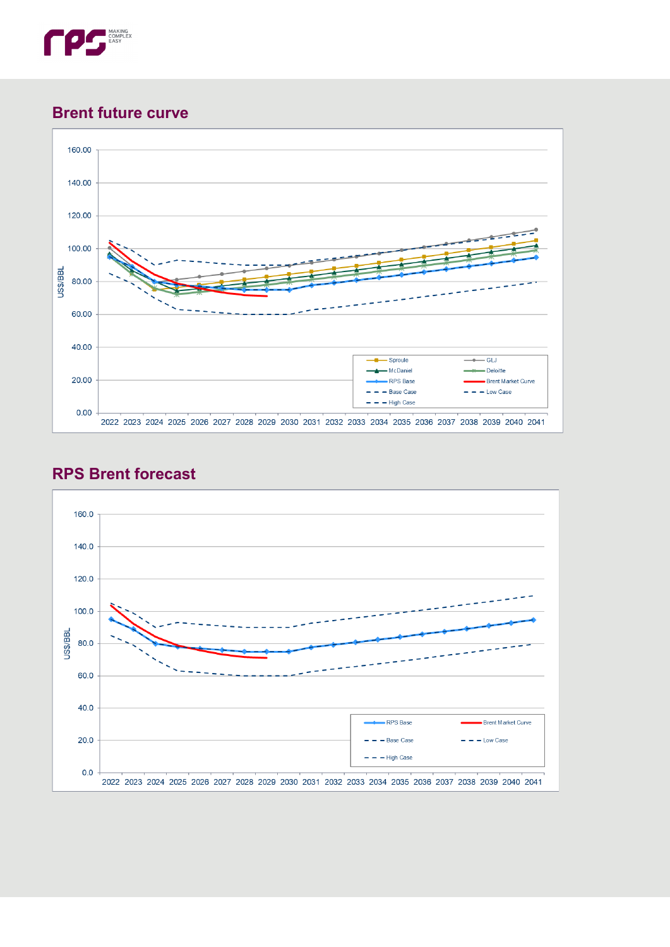

### **Brent future curve**





# **RPS Brent forecast**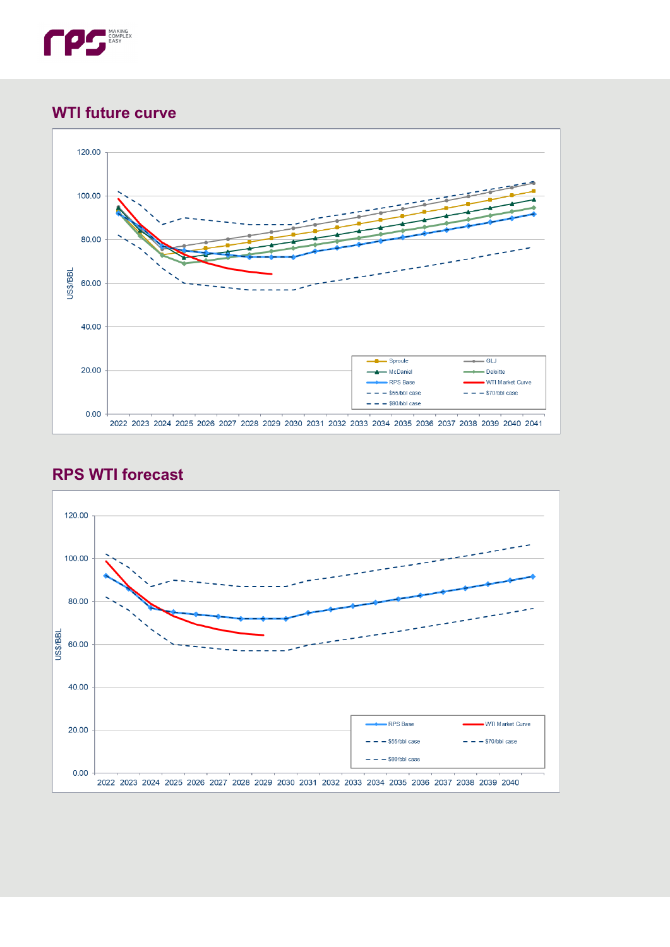

## **WTI future curve**



# **RPS WTI forecast**